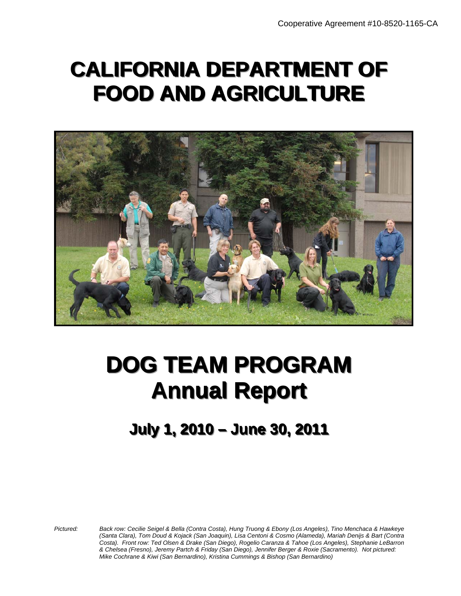# **CALIFORNIA DEPARTMENT OF FOOD AND AGRICULTURE**



# **DOG TEAM PROGRAM DOG TEAM PROGRAM Annual Report Annual Report**

# **JJuullyy 11,, 22001100 –– JJuunnee 3300,, 22001111 July 1, 2010 – June 30, 2011**

*Pictured: Back row: Cecilie Seigel & Bella (Contra Costa), Hung Truong & Ebony (Los Angeles), Tino Menchaca & Hawkeye (Santa Clara), Tom Doud & Kojack (San Joaquin), Lisa Centoni & Cosmo (Alameda), Mariah Denijs & Bart (Contra Costa). Front row: Ted Olsen & Drake (San Diego), Rogelio Caranza & Tahoe (Los Angeles), Stephanie LeBarron & Chelsea (Fresno), Jeremy Partch & Friday (San Diego), Jennifer Berger & Roxie (Sacramento). Not pictured: Mike Cochrane & Kiwi (San Bernardino), Kristina Cummings & Bishop (San Bernardino)*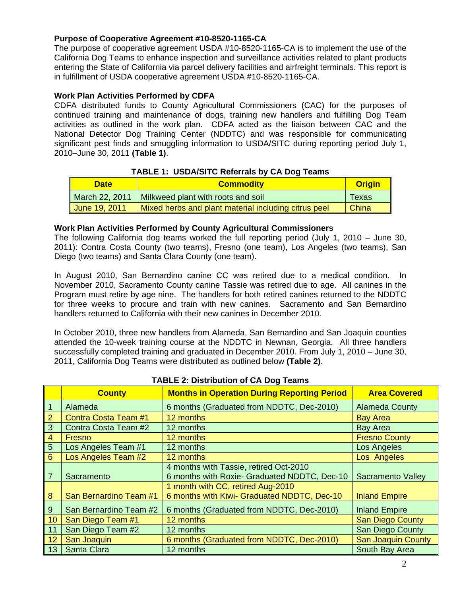#### **Purpose of Cooperative Agreement #10-8520-1165-CA**

The purpose of cooperative agreement USDA #10-8520-1165-CA is to implement the use of the California Dog Teams to enhance inspection and surveillance activities related to plant products entering the State of California via parcel delivery facilities and airfreight terminals. This report is in fulfillment of USDA cooperative agreement USDA #10-8520-1165-CA.

#### **Work Plan Activities Performed by CDFA**

CDFA distributed funds to County Agricultural Commissioners (CAC) for the purposes of continued training and maintenance of dogs, training new handlers and fulfilling Dog Team activities as outlined in the work plan. CDFA acted as the liaison between CAC and the National Detector Dog Training Center (NDDTC) and was responsible for communicating significant pest finds and smuggling information to USDA/SITC during reporting period July 1, 2010–June 30, 2011 **(Table 1)**.

| <b>TABLE 1: USDA/SITC Referrals by CA Dog Teams</b> |
|-----------------------------------------------------|
|-----------------------------------------------------|

| <b>Date</b>    | <b>Commodity</b>                                     |       |
|----------------|------------------------------------------------------|-------|
| March 22, 2011 | Milkweed plant with roots and soil                   | Texas |
| Uune 19, 2011  | Mixed herbs and plant material including citrus peel | China |

#### **Work Plan Activities Performed by County Agricultural Commissioners**

The following California dog teams worked the full reporting period (July 1, 2010 – June 30, 2011): Contra Costa County (two teams), Fresno (one team), Los Angeles (two teams), San Diego (two teams) and Santa Clara County (one team).

In August 2010, San Bernardino canine CC was retired due to a medical condition. In November 2010, Sacramento County canine Tassie was retired due to age. All canines in the Program must retire by age nine. The handlers for both retired canines returned to the NDDTC for three weeks to procure and train with new canines. Sacramento and San Bernardino handlers returned to California with their new canines in December 2010.

In October 2010, three new handlers from Alameda, San Bernardino and San Joaquin counties attended the 10-week training course at the NDDTC in Newnan, Georgia. All three handlers successfully completed training and graduated in December 2010. From July 1, 2010 – June 30, 2011, California Dog Teams were distributed as outlined below **(Table 2)**.

|                 | <b>TABLE 2. Distribution of OA Dog Teams</b> |                                                                                        |                           |  |  |  |  |
|-----------------|----------------------------------------------|----------------------------------------------------------------------------------------|---------------------------|--|--|--|--|
|                 | <b>County</b>                                | <b>Months in Operation During Reporting Period</b>                                     | <b>Area Covered</b>       |  |  |  |  |
|                 | Alameda                                      | 6 months (Graduated from NDDTC, Dec-2010)                                              | <b>Alameda County</b>     |  |  |  |  |
| $\overline{2}$  | Contra Costa Team #1                         | 12 months                                                                              | <b>Bay Area</b>           |  |  |  |  |
| 3               | Contra Costa Team #2                         | 12 months                                                                              | <b>Bay Area</b>           |  |  |  |  |
| 4               | Fresno                                       | 12 months                                                                              | <b>Fresno County</b>      |  |  |  |  |
| 5               | Los Angeles Team #1                          | 12 months                                                                              | Los Angeles               |  |  |  |  |
| $6\phantom{1}$  | Los Angeles Team #2                          | 12 months                                                                              | Los Angeles               |  |  |  |  |
|                 | Sacramento                                   | 4 months with Tassie, retired Oct-2010<br>6 months with Roxie- Graduated NDDTC, Dec-10 | <b>Sacramento Valley</b>  |  |  |  |  |
| 8               | San Bernardino Team #1                       | 1 month with CC, retired Aug-2010<br>6 months with Kiwi- Graduated NDDTC, Dec-10       | <b>Inland Empire</b>      |  |  |  |  |
| 9               | San Bernardino Team #2                       | 6 months (Graduated from NDDTC, Dec-2010)                                              | <b>Inland Empire</b>      |  |  |  |  |
| 10 <sup>°</sup> | San Diego Team #1                            | 12 months                                                                              | <b>San Diego County</b>   |  |  |  |  |
| 11              | San Diego Team #2                            | 12 months                                                                              | San Diego County          |  |  |  |  |
| 12              | San Joaquin                                  | 6 months (Graduated from NDDTC, Dec-2010)                                              | <b>San Joaquin County</b> |  |  |  |  |
| 13              | <b>Santa Clara</b>                           | 12 months                                                                              | South Bay Area            |  |  |  |  |

### **TABLE 2: Distribution of CA Dog Teams**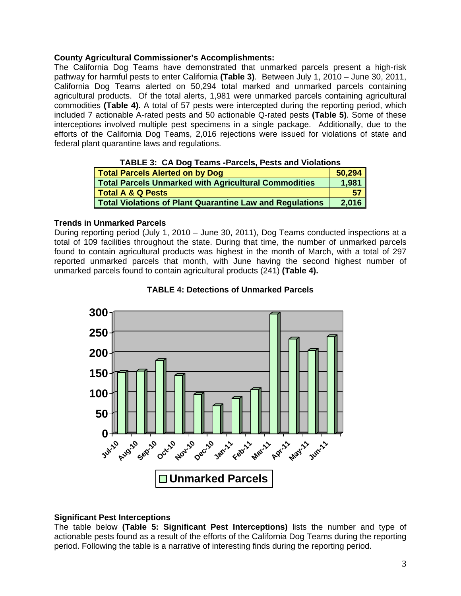#### **County Agricultural Commissioner's Accomplishments:**

The California Dog Teams have demonstrated that unmarked parcels present a high-risk pathway for harmful pests to enter California **(Table 3)**. Between July 1, 2010 – June 30, 2011, California Dog Teams alerted on 50,294 total marked and unmarked parcels containing agricultural products. Of the total alerts, 1,981 were unmarked parcels containing agricultural commodities **(Table 4)**. A total of 57 pests were intercepted during the reporting period, which included 7 actionable A-rated pests and 50 actionable Q-rated pests **(Table 5)**. Some of these interceptions involved multiple pest specimens in a single package. Additionally, due to the efforts of the California Dog Teams, 2,016 rejections were issued for violations of state and federal plant quarantine laws and regulations.

| $11122221$ or $211221$ require and $0.00011$ vote and the authority |        |  |  |
|---------------------------------------------------------------------|--------|--|--|
| Total Parcels Alerted on by Dog                                     | 50.294 |  |  |
| Total Parcels Unmarked with Agricultural Commodities                | 1.981  |  |  |
| Total A & Q Pests                                                   | 57     |  |  |
| <b>Total Violations of Plant Quarantine Law and Regulations</b>     | 2,016  |  |  |

#### **TABLE 3: CA Dog Teams -Parcels, Pests and Violations**

#### **Trends in Unmarked Parcels**

During reporting period (July 1, 2010 – June 30, 2011), Dog Teams conducted inspections at a total of 109 facilities throughout the state. During that time, the number of unmarked parcels found to contain agricultural products was highest in the month of March, with a total of 297 reported unmarked parcels that month, with June having the second highest number of unmarked parcels found to contain agricultural products (241) **(Table 4).** 



#### **TABLE 4: Detections of Unmarked Parcels**

#### **Significant Pest Interceptions**

The table below **(Table 5: Significant Pest Interceptions)** lists the number and type of actionable pests found as a result of the efforts of the California Dog Teams during the reporting period. Following the table is a narrative of interesting finds during the reporting period.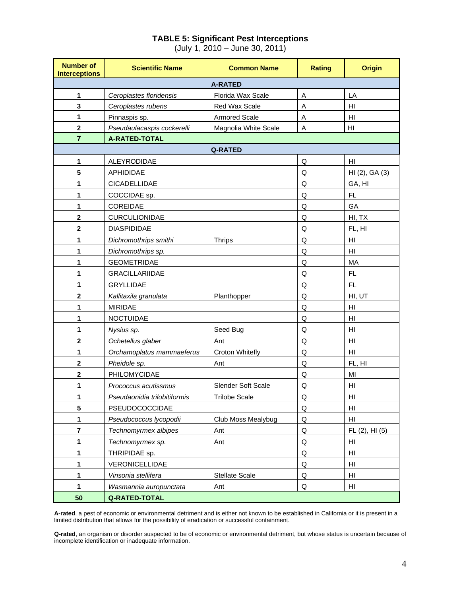# **TABLE 5: Significant Pest Interceptions**

(July 1, 2010 – June 30, 2011)

| <b>Number of</b><br><b>Interceptions</b> | <b>Scientific Name</b>       | <b>Common Name</b>        | <b>Rating</b> | <b>Origin</b>          |  |  |  |  |
|------------------------------------------|------------------------------|---------------------------|---------------|------------------------|--|--|--|--|
| <b>A-RATED</b>                           |                              |                           |               |                        |  |  |  |  |
| 1                                        | Ceroplastes floridensis      | Florida Wax Scale         | Α             | LA                     |  |  |  |  |
| 3                                        | Ceroplastes rubens           | Red Wax Scale             | A             | H <sub>II</sub>        |  |  |  |  |
| 1                                        | Pinnaspis sp.                | <b>Armored Scale</b>      | A             | $\mathsf{H}\mathsf{I}$ |  |  |  |  |
| $\mathbf 2$                              | Pseudaulacaspis cockerelli   | Magnolia White Scale      | A             | H <sub>l</sub>         |  |  |  |  |
| $\overline{7}$                           | <b>A-RATED-TOTAL</b>         |                           |               |                        |  |  |  |  |
| <b>Q-RATED</b>                           |                              |                           |               |                        |  |  |  |  |
| 1                                        | ALEYRODIDAE                  |                           | Q             | HI                     |  |  |  |  |
| 5                                        | APHIDIDAE                    |                           | Q             | HI (2), GA (3)         |  |  |  |  |
| 1                                        | <b>CICADELLIDAE</b>          |                           | Q             | GA, HI                 |  |  |  |  |
| 1                                        | COCCIDAE sp.                 |                           | Q             | FL.                    |  |  |  |  |
| 1                                        | COREIDAE                     |                           | Q             | GA                     |  |  |  |  |
| $\overline{\mathbf{2}}$                  | CURCULIONIDAE                |                           | Q             | HI, TX                 |  |  |  |  |
| $\mathbf 2$                              | <b>DIASPIDIDAE</b>           |                           | Q             | FL, HI                 |  |  |  |  |
| 1                                        | Dichromothrips smithi        | <b>Thrips</b>             | Q             | HI                     |  |  |  |  |
| 1                                        | Dichromothrips sp.           |                           | Q             | HI                     |  |  |  |  |
| 1                                        | <b>GEOMETRIDAE</b>           |                           | Q             | МA                     |  |  |  |  |
| 1                                        | <b>GRACILLARIIDAE</b>        |                           | Q             | FL                     |  |  |  |  |
| 1                                        | <b>GRYLLIDAE</b>             |                           | Q             | FL                     |  |  |  |  |
| $\mathbf{2}$                             | Kallitaxila granulata        | Planthopper               | Q             | HI, UT                 |  |  |  |  |
| 1                                        | <b>MIRIDAE</b>               |                           | Q             | H <sub>l</sub>         |  |  |  |  |
| 1                                        | <b>NOCTUIDAE</b>             |                           | Q             | HI                     |  |  |  |  |
| 1                                        | Nysius sp.                   | Seed Bug                  | Q             | H <sub>II</sub>        |  |  |  |  |
| $\mathbf{2}$                             | Ochetellus glaber            | Ant                       | Q             | HI                     |  |  |  |  |
| 1                                        | Orchamoplatus mammaeferus    | Croton Whitefly           | Q             | H <sub>l</sub>         |  |  |  |  |
| $\mathbf 2$                              | Pheidole sp.                 | Ant                       | Q             | FL, HI                 |  |  |  |  |
| $\mathbf{2}$                             | PHILOMYCIDAE                 |                           | Q             | MI                     |  |  |  |  |
| 1                                        | Prococcus acutissmus         | <b>Slender Soft Scale</b> | Q             | HI                     |  |  |  |  |
| 1                                        | Pseudaonidia trilobitiformis | <b>Trilobe Scale</b>      | Q             | HI                     |  |  |  |  |
| 5                                        | PSEUDOCOCCIDAE               |                           | Q             | HI                     |  |  |  |  |
| 1                                        | Pseudococcus lycopodii       | Club Moss Mealybug        | Q             | H <sub>l</sub>         |  |  |  |  |
| $\bf 7$                                  | Technomyrmex albipes         | Ant                       | Q             | FL(2), HI(5)           |  |  |  |  |
| 1                                        | Technomyrmex sp.             | Ant                       | Q             | HI                     |  |  |  |  |
| 1                                        | THRIPIDAE sp.                |                           | $\sf Q$       | $\mathsf{H}\mathsf{I}$ |  |  |  |  |
| 1                                        | VERONICELLIDAE               |                           | Q             | H <sub>II</sub>        |  |  |  |  |
| 1                                        | Vinsonia stellifera          | Stellate Scale            | Q             | H <sub>l</sub>         |  |  |  |  |
| 1                                        | Wasmannia auropunctata       | Ant                       | Q             | HI                     |  |  |  |  |
| 50                                       | <b>Q-RATED-TOTAL</b>         |                           |               |                        |  |  |  |  |

**A-rated**, a pest of economic or environmental detriment and is either not known to be established in California or it is present in a limited distribution that allows for the possibility of eradication or successful containment.

**Q-rated**, an organism or disorder suspected to be of economic or environmental detriment, but whose status is uncertain because of incomplete identification or inadequate information.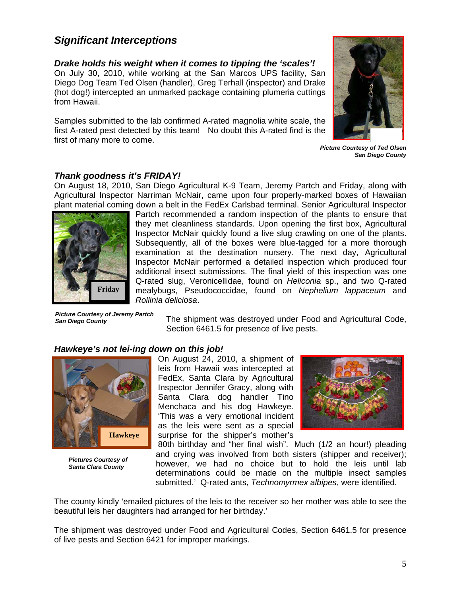# *Significant Interceptions*

*Drake holds his weight when it comes to tipping the 'scales'!*  On July 30, 2010, while working at the San Marcos UPS facility, San Diego Dog Team Ted Olsen (handler), Greg Terhall (inspector) and Drake (hot dog!) intercepted an unmarked package containing plumeria cuttings from Hawaii.

Samples submitted to the lab confirmed A-rated magnolia white scale, the first A-rated pest detected by this team! No doubt this A-rated find is the first of many more to come.

![](_page_4_Picture_3.jpeg)

*Picture Courtesy of Ted Olsen San Diego County* 

# *Thank goodness it's FRIDAY!*

On August 18, 2010, San Diego Agricultural K-9 Team, Jeremy Partch and Friday, along with Agricultural Inspector Narriman McNair, came upon four properly-marked boxes of Hawaiian plant material coming down a belt in the FedEx Carlsbad terminal. Senior Agricultural Inspector

![](_page_4_Picture_7.jpeg)

*Picture Courtesy of Jeremy Partch San Diego County* 

mitted to the lab confirmed A-rated magnolia white spest detected by this team! No doubt this A-rated firm ore to come.<br> **dness if's FRIDAY!**<br>
8, 2010, San Diego Agricultural K-9 Team, Jeremy Inspector Narriman McNair, cam Partch recommended a random inspection of the plants to ensure that they met cleanliness standards. Upon opening the first box, Agricultural Inspector McNair quickly found a live slug crawling on one of the plants. Subsequently, all of the boxes were blue-tagged for a more thorough examination at the destination nursery. The next day, Agricultural Inspector McNair performed a detailed inspection which produced four additional insect submissions. The final yield of this inspection was one Q-rated slug, Veronicellidae, found on *Heliconia* sp., and two Q-rated mealybugs, Pseudococcidae, found on *Nephelium lappaceum* and *Rollinia deliciosa*.

The shipment was destroyed under Food and Agricultural Code, Section 6461.5 for presence of live pests.

# *Hawkeye's not lei-ing down on this job!*

![](_page_4_Picture_12.jpeg)

*Pictures Courtesy of Santa Clara County* 

On August 24, 2010, a shipment of leis from Hawaii was intercepted at FedEx, Santa Clara by Agricultural Inspector Jennifer Gracy, along with Santa Clara dog handler Tino Menchaca and his dog Hawkeye. 'This was a very emotional incident as the leis were sent as a special surprise for the shipper's mother's

![](_page_4_Picture_15.jpeg)

80th birthday and "her final wish". Much (1/2 an hour!) pleading and crying was involved from both sisters (shipper and receiver); however, we had no choice but to hold the leis until lab determinations could be made on the multiple insect samples submitted.' Q-rated ants, *Technomyrmex albipes*, were identified.

The county kindly 'emailed pictures of the leis to the receiver so her mother was able to see the beautiful leis her daughters had arranged for her birthday.'

of live pests and Section 6421 for improper markings. The shipment was destroyed under Food and Agricultural Codes, Section 6461.5 for presence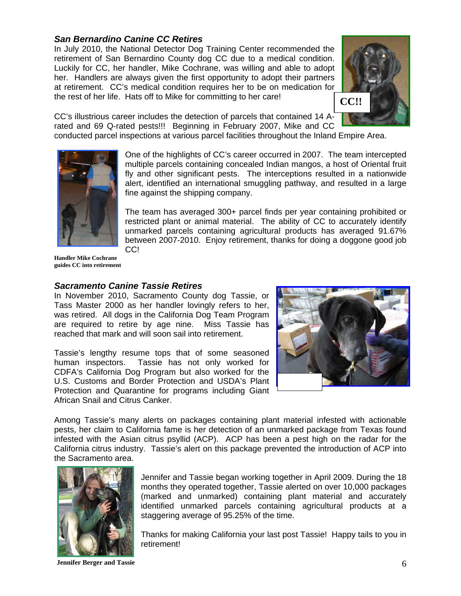### *San Bernardino Canine CC Retires*

In July 2010, the National Detector Dog Training Center recommended the retirement of San Bernardino County dog CC due to a medical condition. Luckily for CC, her handler, Mike Cochrane, was willing and able to adopt her. Handlers are always given the first opportunity to adopt their partners at retirement. CC's medical condition requires her to be on medication for the rest of her life. Hats off to Mike for committing to her care!

![](_page_5_Picture_2.jpeg)

CC's illustrious career includes the detection of parcels that contained 14 Arated and 69 Q-rated pests!!! Beginning in February 2007, Mike and CC

conducted parcel inspections at various parcel facilities throughout the Inland Empire Area.

![](_page_5_Picture_5.jpeg)

One of the highlights of CC's career occurred in 2007. The team intercepted multiple parcels containing concealed Indian mangos, a host of Oriental fruit fly and other significant pests. The interceptions resulted in a nationwide alert, identified an international smuggling pathway, and resulted in a large fine against the shipping company.

The team has averaged 300+ parcel finds per year containing prohibited or restricted plant or animal material. The ability of CC to accurately identify unmarked parcels containing agricultural products has averaged 91.67% between 2007-2010. Enjoy retirement, thanks for doing a doggone good job CC!

**Handler Mike Cochrane guides CC into retirement** 

#### *Sacramento Canine Tassie Retires*

In November 2010, Sacramento County dog Tassie, or Tass Master 2000 as her handler lovingly refers to her, was retired. All dogs in the California Dog Team Program are required to retire by age nine. Miss Tassie has reached that mark and will soon sail into retirement.

Tassie's lengthy resume tops that of some seasoned human inspectors. Tassie has not only worked for CDFA's California Dog Program but also worked for the U.S. Customs and Border Protection and USDA's Plant Protection and Quarantine for programs including Giant African Snail and Citrus Canker.

![](_page_5_Picture_12.jpeg)

Among Tassie's many alerts on packages containing plant material infested with actionable pests, her claim to California fame is her detection of an unmarked package from Texas found infested with the Asian citrus psyllid (ACP). ACP has been a pest high on the radar for the California citrus industry. Tassie's alert on this package prevented the introduction of ACP into the Sacramento area.

![](_page_5_Picture_14.jpeg)

Jennifer and Tassie began working together in April 2009. During the 18 months they operated together, Tassie alerted on over 10,000 packages (marked and unmarked) containing plant material and accurately identified unmarked parcels containing agricultural products at a staggering average of 95.25% of the time.

Thanks for making California your last post Tassie! Happy tails to you in retirement!

 **Jennifer Berger and Tassie** 6